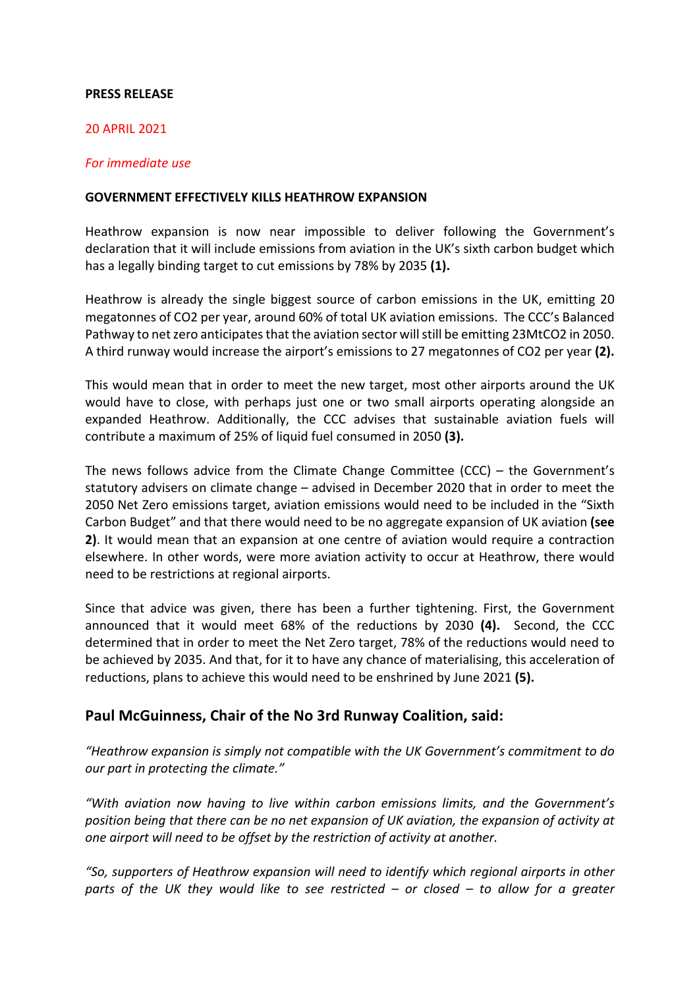## **PRESS RELEASE**

#### 20 APRIL 2021

## *For immediate use*

#### **GOVERNMENT EFFECTIVELY KILLS HEATHROW EXPANSION**

Heathrow expansion is now near impossible to deliver following the Government's declaration that it will include emissions from aviation in the UK's sixth carbon budget which has a legally binding target to cut emissions by 78% by 2035 **(1).**

Heathrow is already the single biggest source of carbon emissions in the UK, emitting 20 megatonnes of CO2 per year, around 60% of total UK aviation emissions. The CCC's Balanced Pathway to net zero anticipates that the aviation sector will still be emitting 23MtCO2 in 2050. A third runway would increase the airport's emissions to 27 megatonnes of CO2 per year **(2).**

This would mean that in order to meet the new target, most other airports around the UK would have to close, with perhaps just one or two small airports operating alongside an expanded Heathrow. Additionally, the CCC advises that sustainable aviation fuels will contribute a maximum of 25% of liquid fuel consumed in 2050 **(3).**

The news follows advice from the Climate Change Committee (CCC) – the Government's statutory advisers on climate change – advised in December 2020 that in order to meet the 2050 Net Zero emissions target, aviation emissions would need to be included in the "Sixth Carbon Budget" and that there would need to be no aggregate expansion of UK aviation **(see 2)**. It would mean that an expansion at one centre of aviation would require a contraction elsewhere. In other words, were more aviation activity to occur at Heathrow, there would need to be restrictions at regional airports.

Since that advice was given, there has been a further tightening. First, the Government announced that it would meet 68% of the reductions by 2030 **(4).** Second, the CCC determined that in order to meet the Net Zero target, 78% of the reductions would need to be achieved by 2035. And that, for it to have any chance of materialising, this acceleration of reductions, plans to achieve this would need to be enshrined by June 2021 **(5).**

# **Paul McGuinness, Chair of the No 3rd Runway Coalition, said:**

*"Heathrow expansion is simply not compatible with the UK Government's commitment to do our part in protecting the climate."*

*"With aviation now having to live within carbon emissions limits, and the Government's position being that there can be no net expansion of UK aviation, the expansion of activity at one airport will need to be offset by the restriction of activity at another.*

*"So, supporters of Heathrow expansion will need to identify which regional airports in other parts of the UK they would like to see restricted – or closed – to allow for a greater*